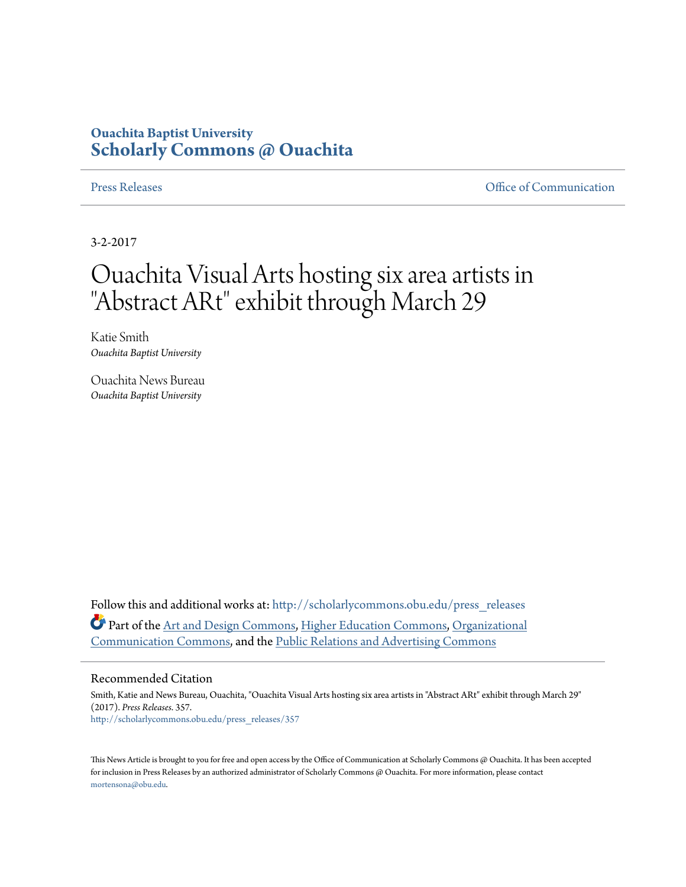## **Ouachita Baptist University [Scholarly Commons @ Ouachita](http://scholarlycommons.obu.edu?utm_source=scholarlycommons.obu.edu%2Fpress_releases%2F357&utm_medium=PDF&utm_campaign=PDFCoverPages)**

[Press Releases](http://scholarlycommons.obu.edu/press_releases?utm_source=scholarlycommons.obu.edu%2Fpress_releases%2F357&utm_medium=PDF&utm_campaign=PDFCoverPages) **Communication** 

3-2-2017

## Ouachita Visual Arts hosting six area artists in "Abstract ARt" exhibit through March 29

Katie Smith *Ouachita Baptist University*

Ouachita News Bureau *Ouachita Baptist University*

Follow this and additional works at: [http://scholarlycommons.obu.edu/press\\_releases](http://scholarlycommons.obu.edu/press_releases?utm_source=scholarlycommons.obu.edu%2Fpress_releases%2F357&utm_medium=PDF&utm_campaign=PDFCoverPages) Part of the [Art and Design Commons,](http://network.bepress.com/hgg/discipline/1049?utm_source=scholarlycommons.obu.edu%2Fpress_releases%2F357&utm_medium=PDF&utm_campaign=PDFCoverPages) [Higher Education Commons](http://network.bepress.com/hgg/discipline/1245?utm_source=scholarlycommons.obu.edu%2Fpress_releases%2F357&utm_medium=PDF&utm_campaign=PDFCoverPages), [Organizational](http://network.bepress.com/hgg/discipline/335?utm_source=scholarlycommons.obu.edu%2Fpress_releases%2F357&utm_medium=PDF&utm_campaign=PDFCoverPages) [Communication Commons,](http://network.bepress.com/hgg/discipline/335?utm_source=scholarlycommons.obu.edu%2Fpress_releases%2F357&utm_medium=PDF&utm_campaign=PDFCoverPages) and the [Public Relations and Advertising Commons](http://network.bepress.com/hgg/discipline/336?utm_source=scholarlycommons.obu.edu%2Fpress_releases%2F357&utm_medium=PDF&utm_campaign=PDFCoverPages)

## Recommended Citation

Smith, Katie and News Bureau, Ouachita, "Ouachita Visual Arts hosting six area artists in "Abstract ARt" exhibit through March 29" (2017). *Press Releases*. 357. [http://scholarlycommons.obu.edu/press\\_releases/357](http://scholarlycommons.obu.edu/press_releases/357?utm_source=scholarlycommons.obu.edu%2Fpress_releases%2F357&utm_medium=PDF&utm_campaign=PDFCoverPages)

This News Article is brought to you for free and open access by the Office of Communication at Scholarly Commons @ Ouachita. It has been accepted for inclusion in Press Releases by an authorized administrator of Scholarly Commons @ Ouachita. For more information, please contact [mortensona@obu.edu](mailto:mortensona@obu.edu).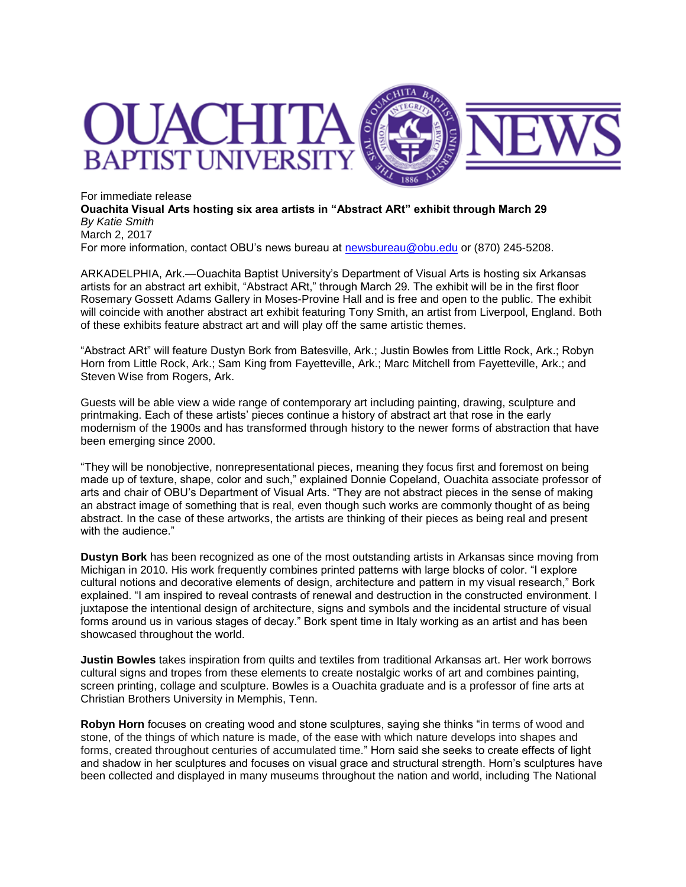

For immediate release **Ouachita Visual Arts hosting six area artists in "Abstract ARt" exhibit through March 29** *By Katie Smith* March 2, 2017 For more information, contact OBU's news bureau at [newsbureau@obu.edu](mailto:newsbureau@obu.edu) or (870) 245-5208.

ARKADELPHIA, Ark.—Ouachita Baptist University's Department of Visual Arts is hosting six Arkansas artists for an abstract art exhibit, "Abstract ARt," through March 29. The exhibit will be in the first floor Rosemary Gossett Adams Gallery in Moses-Provine Hall and is free and open to the public. The exhibit will coincide with another abstract art exhibit featuring Tony Smith, an artist from Liverpool, England. Both of these exhibits feature abstract art and will play off the same artistic themes.

"Abstract ARt" will feature Dustyn Bork from Batesville, Ark.; Justin Bowles from Little Rock, Ark.; Robyn Horn from Little Rock, Ark.; Sam King from Fayetteville, Ark.; Marc Mitchell from Fayetteville, Ark.; and Steven Wise from Rogers, Ark.

Guests will be able view a wide range of contemporary art including painting, drawing, sculpture and printmaking. Each of these artists' pieces continue a history of abstract art that rose in the early modernism of the 1900s and has transformed through history to the newer forms of abstraction that have been emerging since 2000.

"They will be nonobjective, nonrepresentational pieces, meaning they focus first and foremost on being made up of texture, shape, color and such," explained Donnie Copeland, Ouachita associate professor of arts and chair of OBU's Department of Visual Arts. "They are not abstract pieces in the sense of making an abstract image of something that is real, even though such works are commonly thought of as being abstract. In the case of these artworks, the artists are thinking of their pieces as being real and present with the audience."

**Dustyn Bork** has been recognized as one of the most outstanding artists in Arkansas since moving from Michigan in 2010. His work frequently combines printed patterns with large blocks of color. "I explore cultural notions and decorative elements of design, architecture and pattern in my visual research," Bork explained. "I am inspired to reveal contrasts of renewal and destruction in the constructed environment. I juxtapose the intentional design of architecture, signs and symbols and the incidental structure of visual forms around us in various stages of decay." Bork spent time in Italy working as an artist and has been showcased throughout the world.

**Justin Bowles** takes inspiration from quilts and textiles from traditional Arkansas art. Her work borrows cultural signs and tropes from these elements to create nostalgic works of art and combines painting, screen printing, collage and sculpture. Bowles is a Ouachita graduate and is a professor of fine arts at Christian Brothers University in Memphis, Tenn.

**Robyn Horn** focuses on creating wood and stone sculptures, saying she thinks "in terms of wood and stone, of the things of which nature is made, of the ease with which nature develops into shapes and forms, created throughout centuries of accumulated time." Horn said she seeks to create effects of light and shadow in her sculptures and focuses on visual grace and structural strength. Horn's sculptures have been collected and displayed in many museums throughout the nation and world, including The National